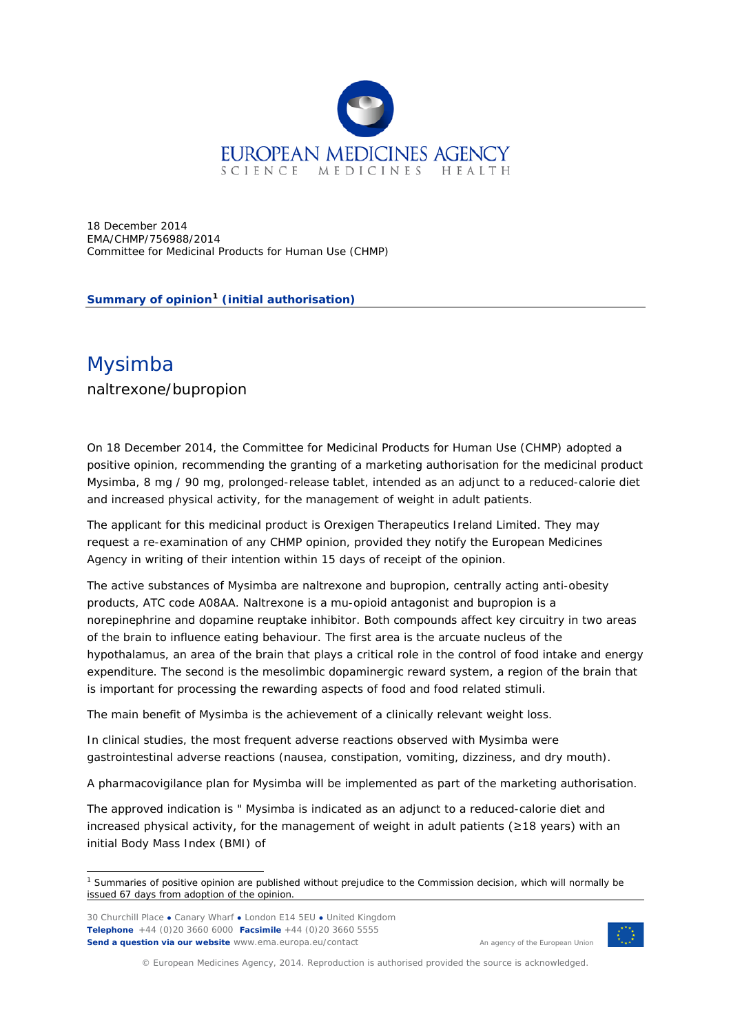

18 December 2014 EMA/CHMP/756988/2014 Committee for Medicinal Products for Human Use (CHMP)

**Summary of opinion[1](#page-0-0) (initial authorisation)**

## Mysimba

naltrexone/bupropion

On 18 December 2014, the Committee for Medicinal Products for Human Use (CHMP) adopted a positive opinion, recommending the granting of a marketing authorisation for the medicinal product Mysimba, 8 mg / 90 mg, prolonged-release tablet, intended as an adjunct to a reduced-calorie diet and increased physical activity, for the management of weight in adult patients.

The applicant for this medicinal product is Orexigen Therapeutics Ireland Limited. They may request a re-examination of any CHMP opinion, provided they notify the European Medicines Agency in writing of their intention within 15 days of receipt of the opinion.

The active substances of Mysimba are naltrexone and bupropion, centrally acting anti-obesity products, ATC code A08AA. Naltrexone is a mu-opioid antagonist and bupropion is a norepinephrine and dopamine reuptake inhibitor. Both compounds affect key circuitry in two areas of the brain to influence eating behaviour. The first area is the arcuate nucleus of the hypothalamus, an area of the brain that plays a critical role in the control of food intake and energy expenditure. The second is the mesolimbic dopaminergic reward system, a region of the brain that is important for processing the rewarding aspects of food and food related stimuli.

The main benefit of Mysimba is the achievement of a clinically relevant weight loss.

In clinical studies, the most frequent adverse reactions observed with Mysimba were gastrointestinal adverse reactions (nausea, constipation, vomiting, dizziness, and dry mouth).

A pharmacovigilance plan for Mysimba will be implemented as part of the marketing authorisation.

The approved indication is " Mysimba is indicated as an adjunct to a reduced-calorie diet and increased physical activity, for the management of weight in adult patients ( $\geq$ 18 years) with an initial Body Mass Index (BMI) of

30 Churchill Place **●** Canary Wharf **●** London E14 5EU **●** United Kingdom **Telephone** +44 (0)20 3660 6000 **Facsimile** +44 (0)20 3660 5555 **Send a question via our website** www.ema.europa.eu/contact

An agency of the European Union



© European Medicines Agency, 2014. Reproduction is authorised provided the source is acknowledged.

<span id="page-0-0"></span><sup>&</sup>lt;sup>1</sup> Summaries of positive opinion are published without prejudice to the Commission decision, which will normally be issued 67 days from adoption of the opinion.